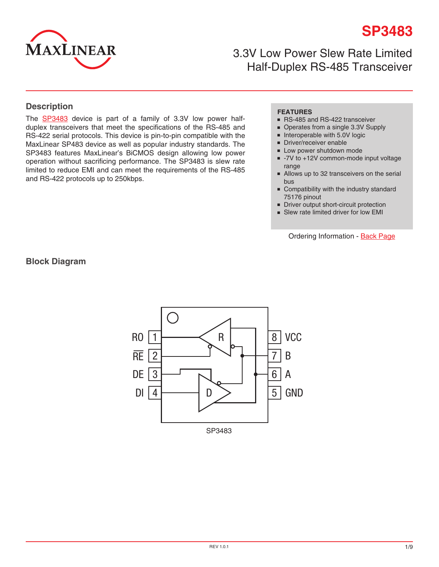

**SP3483**

3.3V Low Power Slew Rate Limited Half-Duplex RS-485 Transceiver

#### **Description**

The [SP34](http://www.exar.com/SP3483)83 device is part of a family of 3.3V low power halfduplex transceivers that meet the specifications of the RS-485 and RS-422 serial protocols. This device is pin-to-pin compatible with the MaxLinear SP483 device as well as popular industry standards. The SP3483 features MaxLinear's BiCMOS design allowing low power operation without sacrificing performance. The SP3483 is slew rate limited to reduce EMI and can meet the requirements of the RS-485 and RS-422 protocols up to 250kbps.

#### **FEATURES**

- RS-485 and RS-422 transceiver
- Operates from a single 3.3V Supply
- Interoperable with 5.0V logic
- Driver/receiver enable
- Low power shutdown mode
- -7V to +12V common-mode input voltage range
- Allows up to 32 transceivers on the serial bus
- Compatibility with the industry standard 75176 pinout
- Driver output short-circuit protection
- Slew rate limited driver for low EMI

Ordering Information - [Back Page](#page-8-0)

**Block Diagram**

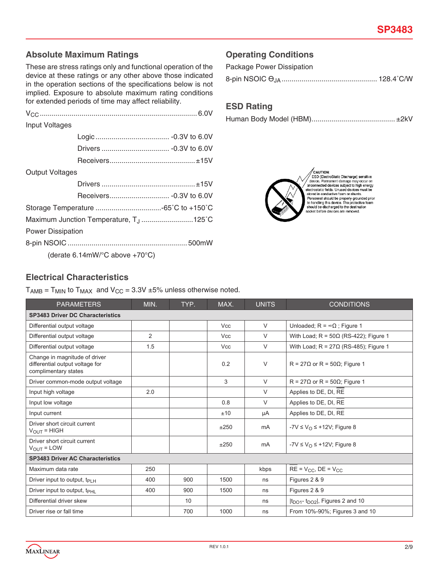## **Absolute Maximum Ratings**

These are stress ratings only and functional operation of the device at these ratings or any other above those indicated in the operation sections of the specifications below is not implied. Exposure to absolute maximum rating conditions for extended periods of time may affect reliability.

| Input Voltages                                      |                                                    |  |  |  |  |  |
|-----------------------------------------------------|----------------------------------------------------|--|--|--|--|--|
|                                                     |                                                    |  |  |  |  |  |
|                                                     |                                                    |  |  |  |  |  |
|                                                     |                                                    |  |  |  |  |  |
| Output Voltages                                     |                                                    |  |  |  |  |  |
|                                                     |                                                    |  |  |  |  |  |
|                                                     |                                                    |  |  |  |  |  |
|                                                     |                                                    |  |  |  |  |  |
| Maximum Junction Temperature, T <sub>.J</sub> 125°C |                                                    |  |  |  |  |  |
| <b>Power Dissipation</b>                            |                                                    |  |  |  |  |  |
|                                                     |                                                    |  |  |  |  |  |
|                                                     | (derate 6.14mW/ $\degree$ C above +70 $\degree$ C) |  |  |  |  |  |

## **Operating Conditions**

| Package Power Dissipation |  |
|---------------------------|--|
|                           |  |

### **ESD Rating**

|--|



 $\sqrt{\text{CAUTION}}$  ESD (ElectroStatic Discharge) sensitive<br>orions. Permanent damage may occur on<br>anononected devices subject to high energy<br>electrostatic fields. Unused devices must be<br>electrostatic fields. Unused devices must be

#### **Electrical Characteristics**

 $T_{AMB}$  =  $T_{MIN}$  to  $T_{MAX}$  and  $V_{CC}$  = 3.3V  $\pm$ 5% unless otherwise noted.

| <b>PARAMETERS</b>                                                                        | MIN. | TYP. | MAX.       | <b>UNITS</b> | <b>CONDITIONS</b>                                        |
|------------------------------------------------------------------------------------------|------|------|------------|--------------|----------------------------------------------------------|
| <b>SP3483 Driver DC Characteristics</b>                                                  |      |      |            |              |                                                          |
| Differential output voltage                                                              |      |      | <b>Vcc</b> | V            | Unloaded; $R = \infty \Omega$ ; Figure 1                 |
| Differential output voltage                                                              | 2    |      | <b>Vcc</b> | V            | With Load; $R = 50\Omega$ (RS-422); Figure 1             |
| Differential output voltage                                                              | 1.5  |      | <b>Vcc</b> | $\vee$       | With Load; $R = 27\Omega$ (RS-485); Figure 1             |
| Change in magnitude of driver<br>differential output voltage for<br>complimentary states |      |      | 0.2        | V            | $R = 27\Omega$ or $R = 50\Omega$ ; Figure 1              |
| Driver common-mode output voltage                                                        |      |      | 3          | V            | $R = 27\Omega$ or $R = 50\Omega$ ; Figure 1              |
| Input high voltage                                                                       | 2.0  |      |            | $\vee$       | Applies to DE, DI, RE                                    |
| Input low voltage                                                                        |      |      | 0.8        | V            | Applies to DE, DI, RE                                    |
| Input current                                                                            |      |      | ±10        | μA           | Applies to DE, DI, RE                                    |
| Driver short circuit current<br>$V_{OUIT}$ = HIGH                                        |      |      | ±250       | mA           | $-YV \le V_O \le +12V$ ; Figure 8                        |
| Driver short circuit current<br>$V_{OUT} = LOW$                                          |      |      | ±250       | mA           | $-7V \le V_O \le +12V$ ; Figure 8                        |
| <b>SP3483 Driver AC Characteristics</b>                                                  |      |      |            |              |                                                          |
| Maximum data rate                                                                        | 250  |      |            | kbps         | $RE = V_{CC}$ , $DE = V_{CC}$                            |
| Driver input to output, $t_{PIH}$                                                        | 400  | 900  | 1500       | ns           | Figures 2 & 9                                            |
| Driver input to output, $t_{\text{PHI}}$                                                 | 400  | 900  | 1500       | ns           | Figures 2 & 9                                            |
| Differential driver skew                                                                 |      | 10   |            | ns           | $ t_{\text{DO1}}$ - $t_{\text{DO2}} $ , Figures 2 and 10 |
| Driver rise or fall time                                                                 |      | 700  | 1000       | ns           | From 10%-90%; Figures 3 and 10                           |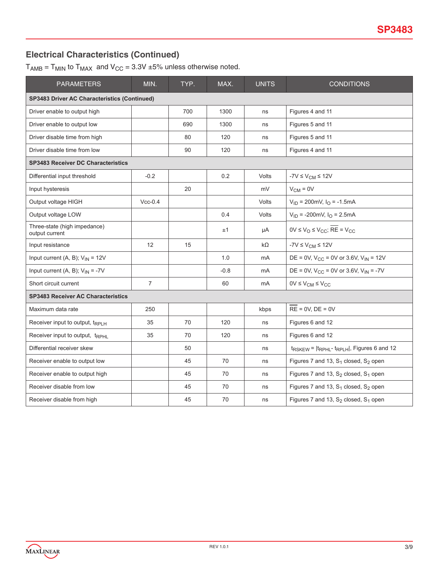# **Electrical Characteristics (Continued)**

 $T_{AMB}$  =  $T_{MIN}$  to  $T_{MAX}$  and  $V_{CC}$  = 3.3V ±5% unless otherwise noted.

| <b>PARAMETERS</b>                                   | MIN.           | TYP. | MAX.   | <b>UNITS</b> | <b>CONDITIONS</b>                                          |  |  |  |  |
|-----------------------------------------------------|----------------|------|--------|--------------|------------------------------------------------------------|--|--|--|--|
| <b>SP3483 Driver AC Characteristics (Continued)</b> |                |      |        |              |                                                            |  |  |  |  |
| Driver enable to output high                        |                | 700  | 1300   | ns           | Figures 4 and 11                                           |  |  |  |  |
| Driver enable to output low                         |                | 690  | 1300   | ns           | Figures 5 and 11                                           |  |  |  |  |
| Driver disable time from high                       |                | 80   | 120    | ns           | Figures 5 and 11                                           |  |  |  |  |
| Driver disable time from low                        |                | 90   | 120    | ns           | Figures 4 and 11                                           |  |  |  |  |
| <b>SP3483 Receiver DC Characteristics</b>           |                |      |        |              |                                                            |  |  |  |  |
| Differential input threshold                        | $-0.2$         |      | 0.2    | <b>Volts</b> | $-7V \leq V_{CM} \leq 12V$                                 |  |  |  |  |
| Input hysteresis                                    |                | 20   |        | mV           | $V_{CM} = 0V$                                              |  |  |  |  |
| Output voltage HIGH                                 | $Vcc-0.4$      |      |        | Volts        | $V_{ID}$ = 200mV, $I_{O}$ = -1.5mA                         |  |  |  |  |
| Output voltage LOW                                  |                |      | 0.4    | Volts        | $V_{ID}$ = -200mV, $I_{O}$ = 2.5mA                         |  |  |  |  |
| Three-state (high impedance)<br>output current      |                |      | ±1     | μA           | $0V \le V_O \le V_{CC}$ ; RE = $V_{CC}$                    |  |  |  |  |
| Input resistance                                    | 12             | 15   |        | kΩ           | $-7V \leq V_{CM} \leq 12V$                                 |  |  |  |  |
| Input current (A, B); $V_{IN} = 12V$                |                |      | 1.0    | mA           | DE = 0V, $V_{CC}$ = 0V or 3.6V, $V_{IN}$ = 12V             |  |  |  |  |
| Input current (A, B); $V_{IN} = -7V$                |                |      | $-0.8$ | mA           | DE = 0V, $V_{CC}$ = 0V or 3.6V, $V_{IN}$ = -7V             |  |  |  |  |
| Short circuit current                               | $\overline{7}$ |      | 60     | mA           | $0V \leq V_{CM} \leq V_{CC}$                               |  |  |  |  |
| <b>SP3483 Receiver AC Characteristics</b>           |                |      |        |              |                                                            |  |  |  |  |
| Maximum data rate                                   | 250            |      |        | kbps         | $RE = 0V$ , $DE = 0V$                                      |  |  |  |  |
| Receiver input to output, tRPLH                     | 35             | 70   | 120    | ns           | Figures 6 and 12                                           |  |  |  |  |
| Receiver input to output, tRPHL                     | 35             | 70   | 120    | ns           | Figures 6 and 12                                           |  |  |  |  |
| Differential receiver skew                          |                | 50   |        | ns           | $t_{RSKEW}$ = $ t_{RPHL}$ - $t_{RPLH} $ , Figures 6 and 12 |  |  |  |  |
| Receiver enable to output low                       |                | 45   | 70     | ns           | Figures 7 and 13, $S_1$ closed, $S_2$ open                 |  |  |  |  |
| Receiver enable to output high                      |                | 45   | 70     | ns           | Figures 7 and 13, $S_2$ closed, $S_1$ open                 |  |  |  |  |
| Receiver disable from low                           |                | 45   | 70     | ns           | Figures 7 and 13, $S_1$ closed, $S_2$ open                 |  |  |  |  |
| Receiver disable from high                          |                | 45   | 70     | ns           | Figures 7 and 13, $S_2$ closed, $S_1$ open                 |  |  |  |  |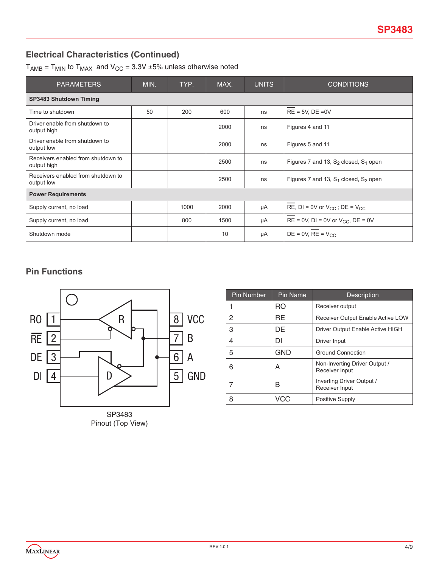# **Electrical Characteristics (Continued)**

 $T_{AMB}$  =  $T_{MIN}$  to  $T_{MAX}$  and  $V_{CC}$  = 3.3V  $\pm 5\%$  unless otherwise noted

| <b>PARAMETERS</b>                                 | MIN. | TYP. | MAX. | <b>UNITS</b> | <b>CONDITIONS</b>                          |  |  |  |
|---------------------------------------------------|------|------|------|--------------|--------------------------------------------|--|--|--|
| <b>SP3483 Shutdown Timing</b>                     |      |      |      |              |                                            |  |  |  |
| Time to shutdown                                  | 50   | 200  | 600  | ns           | $RE = 5V$ , $DE = 0V$                      |  |  |  |
| Driver enable from shutdown to<br>output high     |      |      | 2000 | ns           | Figures 4 and 11                           |  |  |  |
| Driver enable from shutdown to<br>output low      |      |      | 2000 | ns           | Figures 5 and 11                           |  |  |  |
| Receivers enabled from shutdown to<br>output high |      |      | 2500 | ns           | Figures 7 and 13, $S_2$ closed, $S_1$ open |  |  |  |
| Receivers enabled from shutdown to<br>output low  |      |      | 2500 | ns           | Figures 7 and 13, $S_1$ closed, $S_2$ open |  |  |  |
| <b>Power Requirements</b>                         |      |      |      |              |                                            |  |  |  |
| Supply current, no load                           |      | 1000 | 2000 | μA           | RE, $DI = 0V$ or $V_{CC}$ ; $DE = V_{CC}$  |  |  |  |
| Supply current, no load                           |      | 800  | 1500 | μA           | $RE = 0V$ , DI = 0V or $V_{CC}$ , DE = 0V  |  |  |  |
| Shutdown mode                                     |      |      | 10   | μA           | $DE = 0V$ , $RE = V_{CC}$                  |  |  |  |

## **Pin Functions**



| <b>Pin Number</b> | <b>Pin Name</b> | <b>Description</b>                              |
|-------------------|-----------------|-------------------------------------------------|
| 1                 | RO              | Receiver output                                 |
| 2                 | $\overline{BE}$ | Receiver Output Enable Active LOW               |
| 3                 | DE              | Driver Output Enable Active HIGH                |
| 4                 | DI              | Driver Input                                    |
| 5                 | <b>GND</b>      | <b>Ground Connection</b>                        |
| 6                 | А               | Non-Inverting Driver Output /<br>Receiver Input |
|                   | B               | Inverting Driver Output /<br>Receiver Input     |
| 8                 | VCC             | Positive Supply                                 |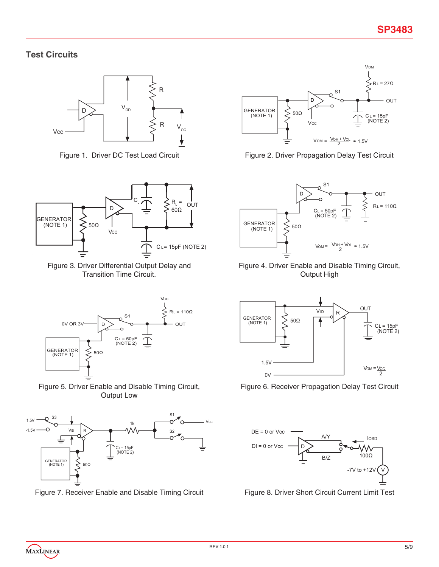## **Test Circuits**





Figure 3. Driver Differential Output Delay and Transition Time Circuit.







Figure 7. Receiver Enable and Disable Timing Circuit Figure 8. Driver Short Circuit Current Limit Test



Figure 1. Driver DC Test Load Circuit Figure 2. Driver Propagation Delay Test Circuit



Figure 4. Driver Enable and Disable Timing Circuit, Output High



Figure 6. Receiver Propagation Delay Test Circuit

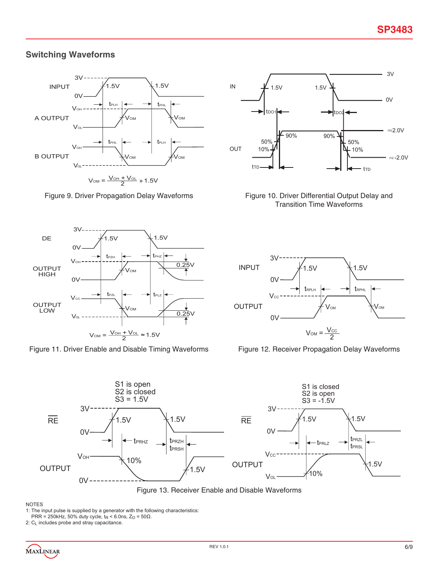### **Switching Waveforms**



Figure 9. Driver Propagation Delay Waveforms Figure 10. Driver Differential Output Delay and



Figure 11. Driver Enable and Disable Timing Waveforms Figure 12. Receiver Propagation Delay Waveforms



Transition Time Waveforms







Figure 13. Receiver Enable and Disable Waveforms

#### NOTES

PRR = 250kHz, 50% duty cycle,  $t_R$  < 6.0ns,  $Z_O$  = 50 $\Omega$ .

2: C<sub>L</sub> includes probe and stray capacitance.

<sup>1:</sup> The input pulse is supplied by a generator with the following characteristics: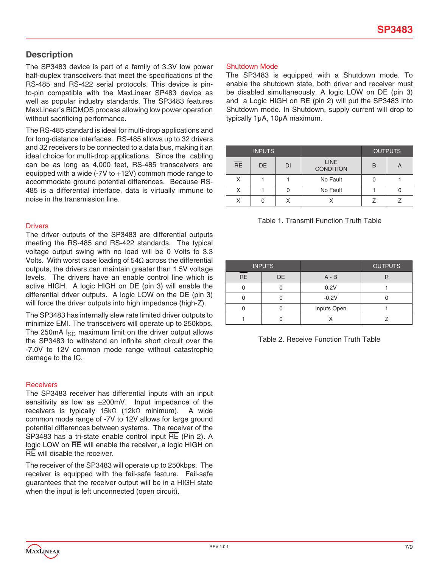### **Description**

The SP3483 device is part of a family of 3.3V low power half-duplex transceivers that meet the specifications of the RS-485 and RS-422 serial protocols. This device is pinto-pin compatible with the MaxLinear SP483 device as well as popular industry standards. The SP3483 features MaxLinear's BiCMOS process allowing low power operation without sacrificing performance.

The RS-485 standard is ideal for multi-drop applications and for long-distance interfaces. RS-485 allows up to 32 drivers and 32 receivers to be connected to a data bus, making it an ideal choice for multi-drop applications. Since the cabling can be as long as 4,000 feet, RS-485 transceivers are equipped with a wide (-7V to +12V) common mode range to accommodate ground potential differences. Because RS-485 is a differential interface, data is virtually immune to noise in the transmission line.

#### **Drivers**

The driver outputs of the SP3483 are differential outputs meeting the RS-485 and RS-422 standards. The typical voltage output swing with no load will be 0 Volts to 3.3 Volts. With worst case loading of 54Ω across the differential outputs, the drivers can maintain greater than 1.5V voltage levels. The drivers have an enable control line which is active HIGH. A logic HIGH on DE (pin 3) will enable the differential driver outputs. A logic LOW on the DE (pin 3) will force the driver outputs into high impedance (high-Z).

The SP3483 has internally slew rate limited driver outputs to minimize EMI. The transceivers will operate up to 250kbps. The 250mA  $I_{SC}$  maximum limit on the driver output allows the SP3483 to withstand an infinite short circuit over the -7.0V to 12V common mode range without catastrophic damage to the IC.

#### **Receivers**

The SP3483 receiver has differential inputs with an input sensitivity as low as ±200mV. Input impedance of the receivers is typically 15kΩ (12kΩ minimum). A wide common mode range of -7V to 12V allows for large ground potential differences between systems. The receiver of the SP3483 has a tri-state enable control input RE (Pin 2). A logic LOW on RE will enable the receiver, a logic HIGH on RE will disable the receiver.

The receiver of the SP3483 will operate up to 250kbps. The receiver is equipped with the fail-safe feature. Fail-safe guarantees that the receiver output will be in a HIGH state when the input is left unconnected (open circuit).

#### Shutdown Mode

The SP3483 is equipped with a Shutdown mode. To enable the shutdown state, both driver and receiver must be disabled simultaneously. A logic LOW on DE (pin 3) and a Logic HIGH on  $\overline{RE}$  (pin 2) will put the SP3483 into Shutdown mode. In Shutdown, supply current will drop to typically 1µA, 10µA maximum.

|                 | <b>INPUTS</b> |    |                                 |   | <b>OUTPUTS</b> |
|-----------------|---------------|----|---------------------------------|---|----------------|
| $\overline{RE}$ | <b>DE</b>     | DI | <b>LINE</b><br><b>CONDITION</b> | B | A              |
| X               |               |    | No Fault                        |   |                |
| Χ               |               |    | No Fault                        |   |                |
| χ               |               |    |                                 |   |                |

| Table 1. Transmit Function Truth Table |
|----------------------------------------|
|----------------------------------------|

| <b>INPUTS</b> |    |             | <b>OUTPUTS</b> |
|---------------|----|-------------|----------------|
| <b>RE</b>     | DE | $A - B$     |                |
|               |    | 0.2V        |                |
|               |    | $-0.2V$     |                |
|               |    | Inputs Open |                |
|               |    |             |                |

Table 2. Receive Function Truth Table

MAXLINEAR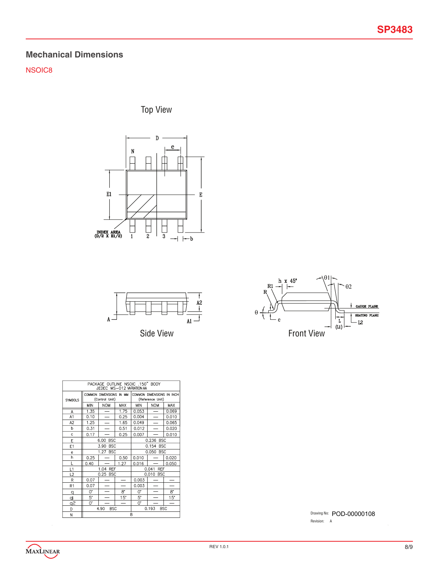## **Mechanical Dimensions**

NSOIC8

Top View







| PACKAGE OUTLINE NSOIC .150" BODY<br>JEDEC MS-012 VARIATION AA |                                           |                                           |                          |            |                                               |            |
|---------------------------------------------------------------|-------------------------------------------|-------------------------------------------|--------------------------|------------|-----------------------------------------------|------------|
| <b>SYMBOLS</b>                                                |                                           | COMMON DIMENSIONS IN MM<br>(Control Unit) |                          |            | COMMON DIMENSIONS IN INCH<br>(Reference Unit) |            |
|                                                               | MIN                                       | <b>NOM</b>                                | <b>MAX</b>               | <b>MIN</b> | <b>NOM</b>                                    | <b>MAX</b> |
| A                                                             | 1.35                                      |                                           | 1.75                     | 0.053      |                                               | 0.069      |
| A1                                                            | 0.10                                      | $\overline{\phantom{0}}$                  | 0.25                     | 0.004      |                                               | 0.010      |
| A2                                                            | 1.25                                      | $\equiv$                                  | 1.65                     | 0.049      | $\overline{\phantom{0}}$                      | 0.065      |
| b                                                             | 0.31                                      | $\overline{\phantom{0}}$                  | 0.51                     | 0.012      | $\overline{\phantom{0}}$                      | 0.020      |
| Ċ                                                             | 0.17                                      |                                           | 0.25                     | 0.007      |                                               | 0.010      |
| E                                                             |                                           | 6.00 BSC                                  |                          | 0.236 BSC  |                                               |            |
| E1                                                            |                                           | 3.90<br><b>BSC</b>                        |                          | 0.154 BSC  |                                               |            |
| $\mathbf{e}$                                                  |                                           | 1.27 BSC                                  |                          | 0.050 BSC  |                                               |            |
| h                                                             | 0.25                                      |                                           | 0.50                     | 0.010      | $\overline{\phantom{0}}$                      | 0.020      |
| L                                                             | 0.40                                      |                                           | 1.27                     | 0.016      |                                               | 0.050      |
| L1                                                            |                                           | 1.04 REF                                  |                          |            | 0.041 REF                                     |            |
| L <sub>2</sub>                                                |                                           | 0.25 BSC                                  |                          |            | 0.010 BSC                                     |            |
| R                                                             | 0.07                                      |                                           | $\overline{\phantom{0}}$ | 0.003      |                                               |            |
| R1                                                            | 0.07                                      |                                           | -                        | 0.003      |                                               |            |
| q                                                             | 0.                                        | $\overline{\phantom{0}}$                  | 8.                       | 0.         |                                               | 8.         |
| ₫                                                             | 5.                                        |                                           | 15"                      | 5.         |                                               | 15"        |
| ڇو                                                            | 0.                                        |                                           | $\overline{\phantom{0}}$ | 0.         |                                               |            |
| D                                                             | 0.193<br><b>BSC</b><br>4.90<br><b>BSC</b> |                                           |                          |            |                                               |            |
| N                                                             | 8                                         |                                           |                          |            |                                               |            |

Drawing No: POD-00000108 Revision: A